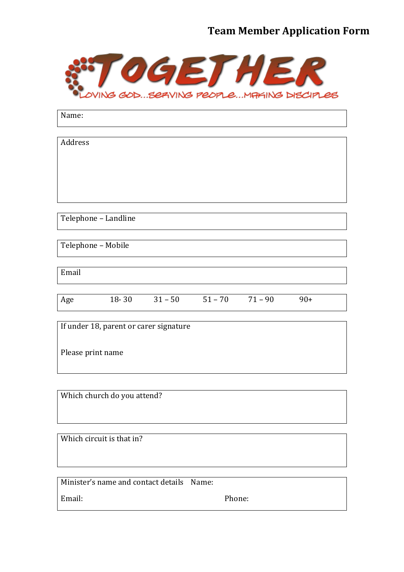## **Team Member Application Form**



| Name:                                  |  |                                 |  |  |       |
|----------------------------------------|--|---------------------------------|--|--|-------|
|                                        |  |                                 |  |  |       |
| Address                                |  |                                 |  |  |       |
|                                        |  |                                 |  |  |       |
|                                        |  |                                 |  |  |       |
|                                        |  |                                 |  |  |       |
|                                        |  |                                 |  |  |       |
| Telephone - Landline                   |  |                                 |  |  |       |
|                                        |  |                                 |  |  |       |
| Telephone - Mobile                     |  |                                 |  |  |       |
|                                        |  |                                 |  |  |       |
| Email                                  |  |                                 |  |  |       |
|                                        |  |                                 |  |  |       |
| Age                                    |  | $18-30$ $31-50$ $51-70$ $71-90$ |  |  | $90+$ |
|                                        |  |                                 |  |  |       |
| If under 18, parent or carer signature |  |                                 |  |  |       |
| Please print name                      |  |                                 |  |  |       |
|                                        |  |                                 |  |  |       |

Which church do you attend?

Which circuit is that in?

| Minister's name and contact details Name: |        |
|-------------------------------------------|--------|
| Email:                                    | Phone: |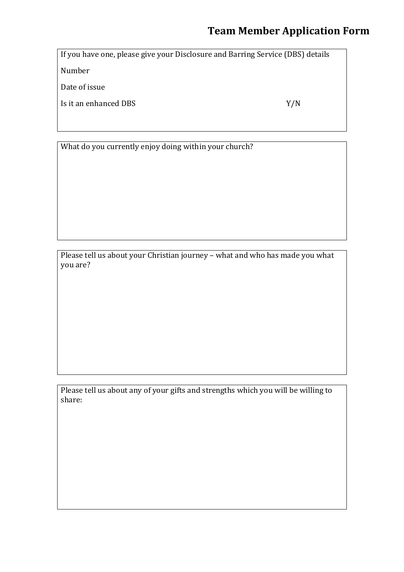## **Team Member Application Form**

If you have one, please give your Disclosure and Barring Service (DBS) details

Number

Date of issue

Is it an enhanced DBS Y/N

What do you currently enjoy doing within your church?

Please tell us about your Christian journey – what and who has made you what you are?

Please tell us about any of your gifts and strengths which you will be willing to share: